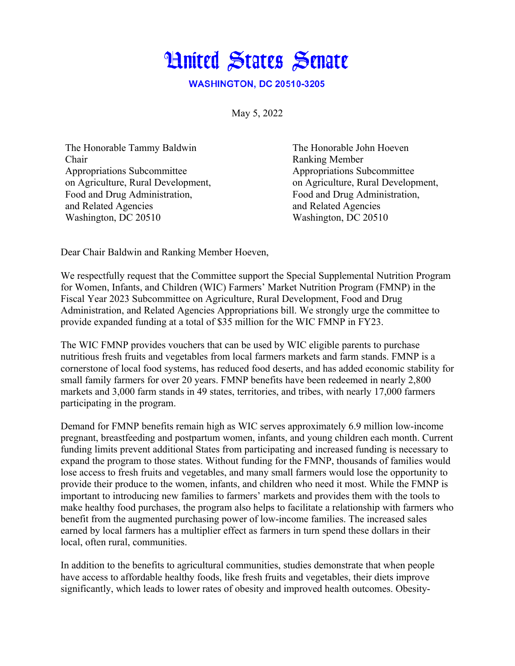## **Hnited States Senate**

**WASHINGTON, DC 20510-3205** 

May 5, 2022

The Honorable Tammy Baldwin Chair Appropriations Subcommittee on Agriculture, Rural Development, Food and Drug Administration, and Related Agencies Washington, DC 20510

The Honorable John Hoeven Ranking Member Appropriations Subcommittee on Agriculture, Rural Development, Food and Drug Administration, and Related Agencies Washington, DC 20510

Dear Chair Baldwin and Ranking Member Hoeven,

We respectfully request that the Committee support the Special Supplemental Nutrition Program for Women, Infants, and Children (WIC) Farmers' Market Nutrition Program (FMNP) in the Fiscal Year 2023 Subcommittee on Agriculture, Rural Development, Food and Drug Administration, and Related Agencies Appropriations bill. We strongly urge the committee to provide expanded funding at a total of \$35 million for the WIC FMNP in FY23.

The WIC FMNP provides vouchers that can be used by WIC eligible parents to purchase nutritious fresh fruits and vegetables from local farmers markets and farm stands. FMNP is a cornerstone of local food systems, has reduced food deserts, and has added economic stability for small family farmers for over 20 years. FMNP benefits have been redeemed in nearly 2,800 markets and 3,000 farm stands in 49 states, territories, and tribes, with nearly 17,000 farmers participating in the program.

Demand for FMNP benefits remain high as WIC serves approximately 6.9 million low-income pregnant, breastfeeding and postpartum women, infants, and young children each month. Current funding limits prevent additional States from participating and increased funding is necessary to expand the program to those states. Without funding for the FMNP, thousands of families would lose access to fresh fruits and vegetables, and many small farmers would lose the opportunity to provide their produce to the women, infants, and children who need it most. While the FMNP is important to introducing new families to farmers' markets and provides them with the tools to make healthy food purchases, the program also helps to facilitate a relationship with farmers who benefit from the augmented purchasing power of low-income families. The increased sales earned by local farmers has a multiplier effect as farmers in turn spend these dollars in their local, often rural, communities.

In addition to the benefits to agricultural communities, studies demonstrate that when people have access to affordable healthy foods, like fresh fruits and vegetables, their diets improve significantly, which leads to lower rates of obesity and improved health outcomes. Obesity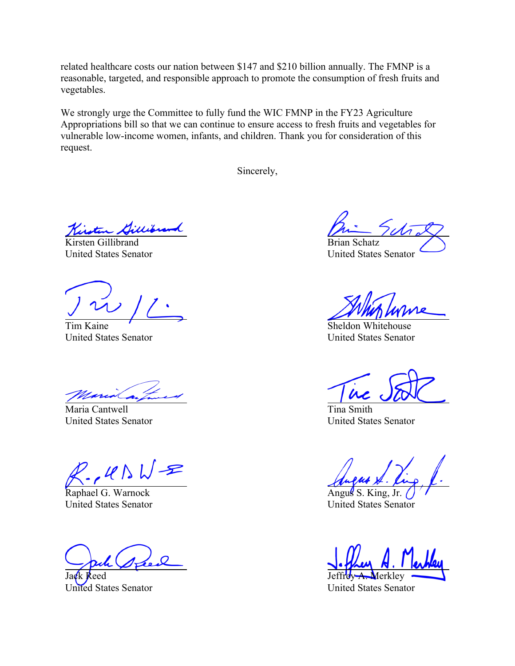related healthcare costs our nation between \$147 and \$210 billion annually. The FMNP is a reasonable, targeted, and responsible approach to promote the consumption of fresh fruits and vegetables.

We strongly urge the Committee to fully fund the WIC FMNP in the FY23 Agriculture Appropriations bill so that we can continue to ensure access to fresh fruits and vegetables for vulnerable low-income women, infants, and children. Thank you for consideration of this request.

Sincerely,

Kisten Dille

Kirsten Gillibrand United States Senator

Tim Kaine United States Senator

Maria Cantwell United States Senator

 $2.405$  W =

Raphael G. Warnock United States Senator

Jack Reed United States Senator

Brian Schatz United States Senator

Sheldon Whitehouse United States Senator

Tina Smith United States Senator

Angus S. King, Jr. United States Senator

Jeffrey A. Merkley

United States Senator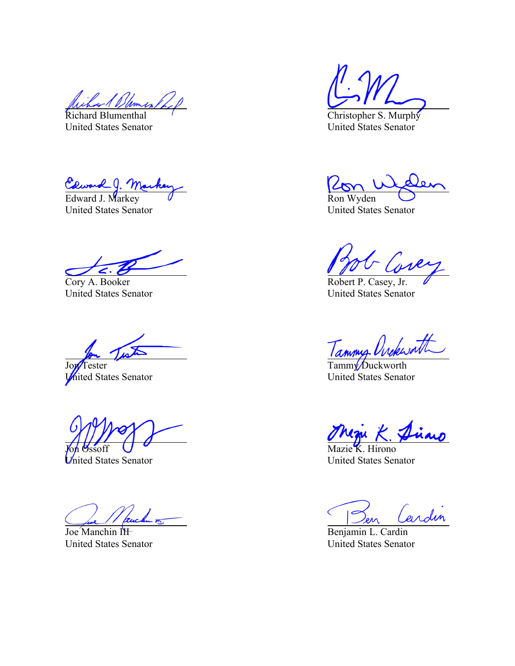*Dumes* 

Richard Blumenthal United States Senator

Caward J. Marke

United States Senator

Cory A. Booker United States Senator

 $\mathbf{z}$ 

Jon<sup>T</sup>ester **United States Senator** 

Joh Ossoff

United States Senator

Joe Manchin III United States Senator

Christopher S. Murphy United States Senator

Ron Wyden

United States Senator

Robert P. Casey, Jr. United States Senator

Tammy Urckworth

United States Senator

Mazie K. Hirono United States Senator

ardin

Benjamin L. Cardin United States Senator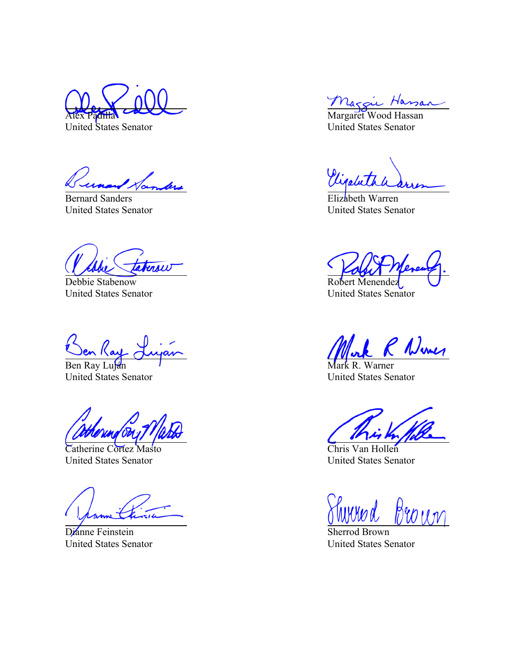Alex Padilla United States Senator

anders

Bernard Sanders United States Senator

aterow

Debbie Stabenow United States Senator

<u>Ben Ray</u>

United States Senator

Catherine Cortez Masto United States Senator

Dianne Feinstein United States Senator

Maggie Hassan

United States Senator

Vigabet

Elizabeth Warren United States Senator

Robert Menendez United States Senator

R Numer

Mark R. Warner United States Senator

Chris Van Hollen United States Senator

Broun

Sherrod Brown United States Senator